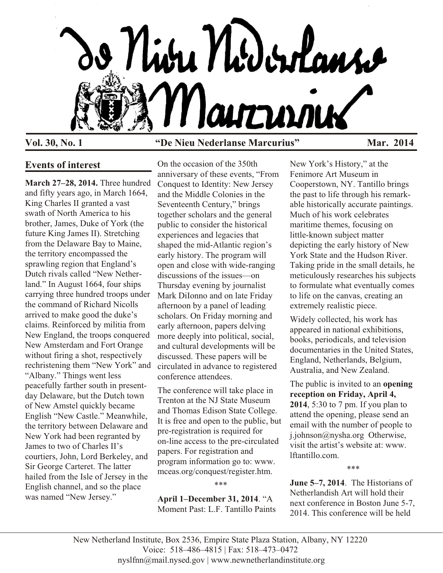

## **Vol. 30, No. 1 "De Nieu Nederlanse Marcurius" Mar. 2014**

### **Events of interest**

**March 27–28, 2014.** Three hundred and fifty years ago, in March 1664, King Charles II granted a vast swath of North America to his brother, James, Duke of York (the future King James II). Stretching from the Delaware Bay to Maine, the territory encompassed the sprawling region that England's Dutch rivals called "New Netherland." In August 1664, four ships carrying three hundred troops under the command of Richard Nicolls arrived to make good the duke's claims. Reinforced by militia from New England, the troops conquered New Amsterdam and Fort Orange without firing a shot, respectively rechristening them "New York" and "Albany." Things went less peacefully farther south in presentday Delaware, but the Dutch town of New Amstel quickly became English "New Castle." Meanwhile, the territory between Delaware and New York had been regranted by James to two of Charles II's courtiers, John, Lord Berkeley, and Sir George Carteret. The latter hailed from the Isle of Jersey in the English channel, and so the place was named "New Jersey."

On the occasion of the 350th anniversary of these events, "From Conquest to Identity: New Jersey and the Middle Colonies in the Seventeenth Century," brings together scholars and the general public to consider the historical experiences and legacies that shaped the mid-Atlantic region's early history. The program will open and close with wide-ranging discussions of the issues—on Thursday evening by journalist Mark DiIonno and on late Friday afternoon by a panel of leading scholars. On Friday morning and early afternoon, papers delving more deeply into political, social, and cultural developments will be discussed. These papers will be circulated in advance to registered conference attendees.

The conference will take place in Trenton at the NJ State Museum and Thomas Edison State College. It is free and open to the public, but pre-registration is required for on-line access to the pre-circulated papers. For registration and program information go to: www. mceas.org/conquest/register.htm.

\*\*\*

**April 1–December 31, 2014**. "A Moment Past: L.F. Tantillo Paints

New York's History," at the Fenimore Art Museum in Cooperstown, NY. Tantillo brings the past to life through his remarkable historically accurate paintings. Much of his work celebrates maritime themes, focusing on little-known subject matter depicting the early history of New York State and the Hudson River. Taking pride in the small details, he meticulously researches his subjects to formulate what eventually comes to life on the canvas, creating an extremely realistic piece.

Widely collected, his work has appeared in national exhibitions, books, periodicals, and television documentaries in the United States, England, Netherlands, Belgium, Australia, and New Zealand.

The public is invited to an **opening reception on Friday, April 4, 2014**, 5:30 to 7 pm. If you plan to attend the opening, please send an email with the number of people to j.johnson@nysha.org Otherwise, visit the artist's website at: www. lftantillo.com.

\*\*\*

**June 5–7, 2014**. The Historians of Netherlandish Art will hold their next conference in Boston June 5-7, 2014. This conference will be held

New Netherland Institute, Box 2536, Empire State Plaza Station, Albany, NY 12220 Voice: 518–486–4815 | Fax: 518–473–0472 nyslfnn@mail.nysed.gov | www.newnetherlandinstitute.org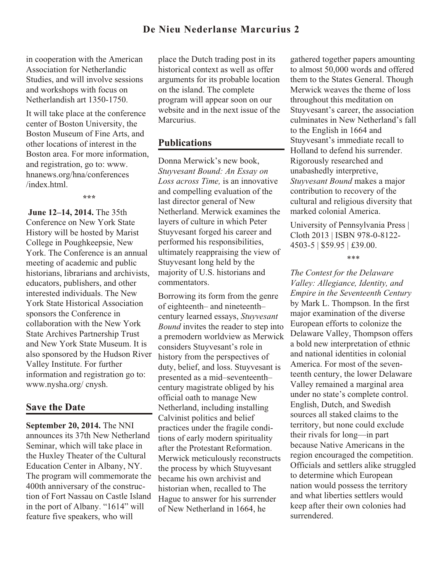in cooperation with the American Association for Netherlandic Studies, and will involve sessions and workshops with focus on Netherlandish art 1350-1750.

It will take place at the conference center of Boston University, the Boston Museum of Fine Arts, and other locations of interest in the Boston area. For more information, and registration, go to: www. hnanews.org/hna/conferences /index.html.

**\*\*\***

**June 12–14, 2014.** The 35th Conference on New York State History will be hosted by Marist College in Poughkeepsie, New York. The Conference is an annual meeting of academic and public historians, librarians and archivists, educators, publishers, and other interested individuals. The New York State Historical Association sponsors the Conference in collaboration with the New York State Archives Partnership Trust and New York State Museum. It is also sponsored by the Hudson River Valley Institute. For further information and registration go to: www.nysha.org/ cnysh.

### **Save the Date**

**September 20, 2014.** The NNI announces its 37th New Netherland Seminar, which will take place in the Huxley Theater of the Cultural Education Center in Albany, NY. The program will commemorate the 400th anniversary of the construction of Fort Nassau on Castle Island in the port of Albany. "1614" will feature five speakers, who will

place the Dutch trading post in its historical context as well as offer arguments for its probable location on the island. The complete program will appear soon on our website and in the next issue of the Marcurius.

### **Publications**

Donna Merwick's new book, *Stuyvesant Bound: An Essay on Loss across Time,* is an innovative and compelling evaluation of the last director general of New Netherland. Merwick examines the layers of culture in which Peter Stuyvesant forged his career and performed his responsibilities, ultimately reappraising the view of Stuyvesant long held by the majority of U.S. historians and commentators.

Borrowing its form from the genre of eighteenth– and nineteenth– century learned essays, *Stuyvesant Bound* invites the reader to step into a premodern worldview as Merwick considers Stuyvesant's role in history from the perspectives of duty, belief, and loss. Stuyvesant is presented as a mid–seventeenth– century magistrate obliged by his official oath to manage New Netherland, including installing Calvinist politics and belief practices under the fragile conditions of early modern spirituality after the Protestant Reformation. Merwick meticulously reconstructs the process by which Stuyvesant became his own archivist and historian when, recalled to The Hague to answer for his surrender of New Netherland in 1664, he

gathered together papers amounting to almost 50,000 words and offered them to the States General. Though Merwick weaves the theme of loss throughout this meditation on Stuyvesant's career, the association culminates in New Netherland's fall to the English in 1664 and Stuyvesant's immediate recall to Holland to defend his surrender. Rigorously researched and unabashedly interpretive, *Stuyvesant Bound* makes a major contribution to recovery of the cultural and religious diversity that marked colonial America.

University of Pennsylvania Press | Cloth 2013 | ISBN 978-0-8122- 4503-5 | \$59.95 | £39.00.

#### \*\*\*

*The Contest for the Delaware Valley: Allegiance, Identity, and Empire in the Seventeenth Century* by Mark L. Thompson. In the first major examination of the diverse European efforts to colonize the Delaware Valley, Thompson offers a bold new interpretation of ethnic and national identities in colonial America. For most of the seventeenth century, the lower Delaware Valley remained a marginal area under no state's complete control. English, Dutch, and Swedish sources all staked claims to the territory, but none could exclude their rivals for long—in part because Native Americans in the region encouraged the competition. Officials and settlers alike struggled to determine which European nation would possess the territory and what liberties settlers would keep after their own colonies had surrendered.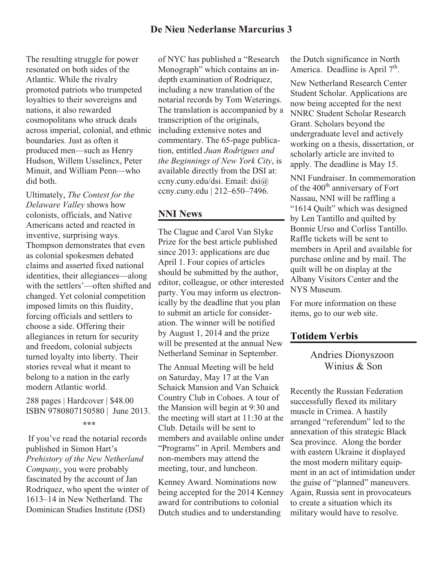The resulting struggle for power resonated on both sides of the Atlantic. While the rivalry promoted patriots who trumpeted loyalties to their sovereigns and nations, it also rewarded cosmopolitans who struck deals across imperial, colonial, and ethnic boundaries. Just as often it produced men—such as Henry Hudson, Willem Usselincx, Peter Minuit, and William Penn—who did both.

Ultimately, *The Contest for the Delaware Valley* shows how colonists, officials, and Native Americans acted and reacted in inventive, surprising ways. Thompson demonstrates that even as colonial spokesmen debated claims and asserted fixed national identities, their allegiances—along with the settlers'—often shifted and changed. Yet colonial competition imposed limits on this fluidity, forcing officials and settlers to choose a side. Offering their allegiances in return for security and freedom, colonial subjects turned loyalty into liberty. Their stories reveal what it meant to belong to a nation in the early modern Atlantic world.

288 pages | Hardcover | \$48.00 ISBN 9780807150580 | June 2013. **\*\*\***

 If you've read the notarial records published in Simon Hart's *Prehistory of the New Netherland Company*, you were probably fascinated by the account of Jan Rodriquez, who spent the winter of 1613–14 in New Netherland. The Dominican Studies Institute (DSI)

of NYC has published a "Research Monograph" which contains an indepth examination of Rodriquez, including a new translation of the notarial records by Tom Weterings. The translation is accompanied by a transcription of the originals, including extensive notes and commentary. The 65-page publication, entitled *Juan Rodrigues and the Beginnings of New York City*, is available directly from the DSI at: ccny.cuny.edu/dsi. Email: dsi@ ccny.cuny.edu | 212–650–7496.

# **NNI News**

The Clague and Carol Van Slyke Prize for the best article published since 2013: applications are due April 1. Four copies of articles should be submitted by the author, editor, colleague, or other interested party. You may inform us electronically by the deadline that you plan to submit an article for consideration. The winner will be notified by August 1, 2014 and the prize will be presented at the annual New Netherland Seminar in September.

The Annual Meeting will be held on Saturday, May 17 at the Van Schaick Mansion and Van Schaick Country Club in Cohoes. A tour of the Mansion will begin at 9:30 and the meeting will start at 11:30 at the Club. Details will be sent to members and available online under "Programs" in April. Members and non-members may attend the meeting, tour, and luncheon.

Kenney Award. Nominations now being accepted for the 2014 Kenney award for contributions to colonial Dutch studies and to understanding

the Dutch significance in North America. Deadline is April  $7<sup>th</sup>$ .

New Netherland Research Center Student Scholar. Applications are now being accepted for the next NNRC Student Scholar Research Grant. Scholars beyond the undergraduate level and actively working on a thesis, dissertation, or scholarly article are invited to apply. The deadline is May 15.

NNI Fundraiser. In commemoration of the  $400<sup>th</sup>$  anniversary of Fort Nassau, NNI will be raffling a "1614 Quilt" which was designed by Len Tantillo and quilted by Bonnie Urso and Corliss Tantillo. Raffle tickets will be sent to members in April and available for purchase online and by mail. The quilt will be on display at the Albany Visitors Center and the NYS Museum.

For more information on these items, go to our web site.

### **Totidem Verbis**

## Andries Dionyszoon Winius & Son

Recently the Russian Federation successfully flexed its military muscle in Crimea. A hastily arranged "referendum" led to the annexation of this strategic Black Sea province. Along the border with eastern Ukraine it displayed the most modern military equipment in an act of intimidation under the guise of "planned" maneuvers. Again, Russia sent in provocateurs to create a situation which its military would have to resolve.